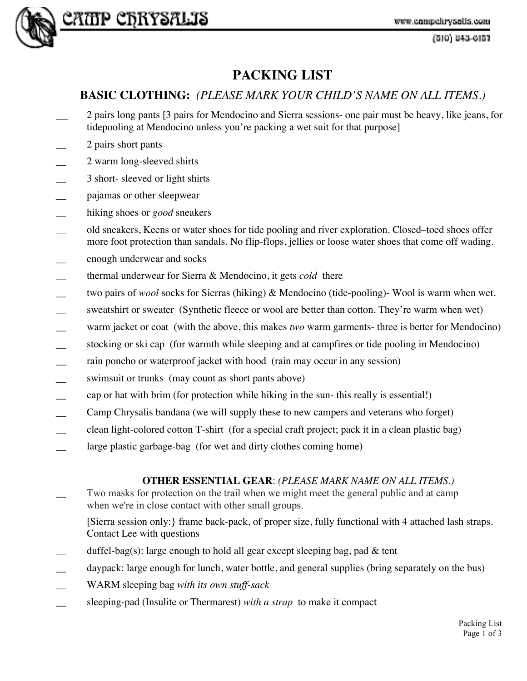

# Cattp CBRYSALIS

(610) 843-6157

# **PACKING LIST**

# **BASIC CLOTHING:** *(PLEASE MARK YOUR CHILD'S NAME ON ALL ITEMS.)*

- \_\_ 2 pairs long pants [3 pairs for Mendocino and Sierra sessions- one pair must be heavy, like jeans, for tidepooling at Mendocino unless you're packing a wet suit for that purpose]
- \_\_ 2 pairs short pants
- \_\_ 2 warm long-sleeved shirts
- \_\_ 3 short- sleeved or light shirts
- \_\_ pajamas or other sleepwear
- hiking shoes or *good* sneakers
- \_\_ old sneakers, Keens or water shoes for tide pooling and river exploration. Closed–toed shoes offer more foot protection than sandals. No flip-flops, jellies or loose water shoes that come off wading.
- \_\_ enough underwear and socks
- \_\_ thermal underwear for Sierra & Mendocino, it gets *cold* there
- \_\_ two pairs of *wool* socks for Sierras (hiking) & Mendocino (tide-pooling)- Wool is warm when wet.
- sweatshirt or sweater (Synthetic fleece or wool are better than cotton. They're warm when wet)
- warm jacket or coat (with the above, this makes *two* warm garments- three is better for Mendocino)
- stocking or ski cap (for warmth while sleeping and at campfires or tide pooling in Mendocino)
- rain poncho or waterproof jacket with hood (rain may occur in any session)
- swimsuit or trunks (may count as short pants above)
- cap or hat with brim (for protection while hiking in the sun- this really is essential!)
- Camp Chrysalis bandana (we will supply these to new campers and veterans who forget)
- clean light-colored cotton T-shirt (for a special craft project; pack it in a clean plastic bag)
- large plastic garbage-bag (for wet and dirty clothes coming home)

#### **OTHER ESSENTIAL GEAR**: *(PLEASE MARK NAME ON ALL ITEMS.)*

- Two masks for protection on the trail when we might meet the general public and at camp when we're in close contact with other small groups.
	- [Sierra session only:} frame back-pack, of proper size, fully functional with 4 attached lash straps. Contact Lee with questions
- duffel-bag(s): large enough to hold all gear except sleeping bag, pad  $&$  tent
- daypack: large enough for lunch, water bottle, and general supplies (bring separately on the bus)
- \_\_ WARM sleeping bag *with its own stuff-sack*
- sleeping-pad (Insulite or Thermarest) *with a strap* to make it compact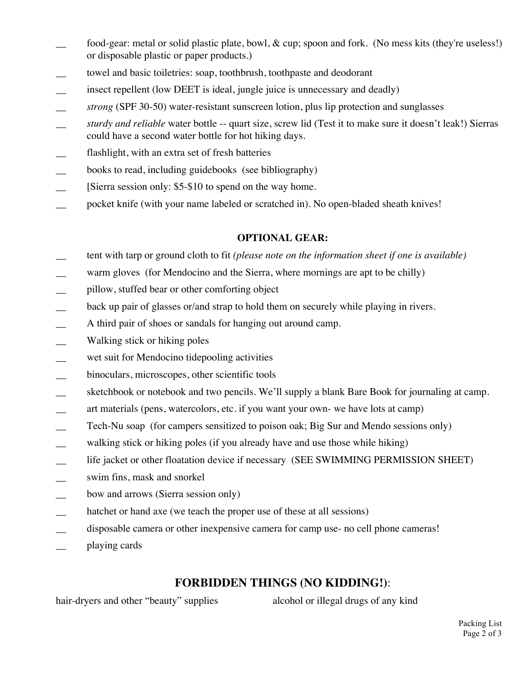- food-gear: metal or solid plastic plate, bowl, & cup; spoon and fork. (No mess kits (they're useless!) or disposable plastic or paper products.)
- towel and basic toiletries: soap, toothbrush, toothpaste and deodorant
- insect repellent (low DEET is ideal, jungle juice is unnecessary and deadly)
- *\_\_ strong* (SPF 30-50) water-resistant sunscreen lotion, plus lip protection and sunglasses
- *\_\_ sturdy and reliable* water bottle -- quart size, screw lid (Test it to make sure it doesn't leak!) Sierras could have a second water bottle for hot hiking days.
- flashlight, with an extra set of fresh batteries
- books to read, including guidebooks (see bibliography)
- Sierra session only: \$5-\$10 to spend on the way home.
- \_\_ pocket knife (with your name labeled or scratched in). No open-bladed sheath knives!

#### **OPTIONAL GEAR:**

- \_\_ tent with tarp or ground cloth to fit *(please note on the information sheet if one is available)*
- warm gloves (for Mendocino and the Sierra, where mornings are apt to be chilly)
- \_\_ pillow, stuffed bear or other comforting object
- back up pair of glasses or/and strap to hold them on securely while playing in rivers.
- A third pair of shoes or sandals for hanging out around camp.
- \_\_ Walking stick or hiking poles
- \_\_ wet suit for Mendocino tidepooling activities
- \_\_ binoculars, microscopes, other scientific tools
- sketchbook or notebook and two pencils. We'll supply a blank Bare Book for journaling at camp.
- art materials (pens, watercolors, etc. if you want your own- we have lots at camp)
- Tech-Nu soap (for campers sensitized to poison oak; Big Sur and Mendo sessions only)
- walking stick or hiking poles (if you already have and use those while hiking)
- life jacket or other floatation device if necessary (SEE SWIMMING PERMISSION SHEET)
- swim fins, mask and snorkel
- bow and arrows (Sierra session only)
- hatchet or hand axe (we teach the proper use of these at all sessions)
- disposable camera or other inexpensive camera for camp use- no cell phone cameras!
- \_\_ playing cards

## **FORBIDDEN THINGS (NO KIDDING!)**:

hair-dryers and other "beauty" supplies alcohol or illegal drugs of any kind